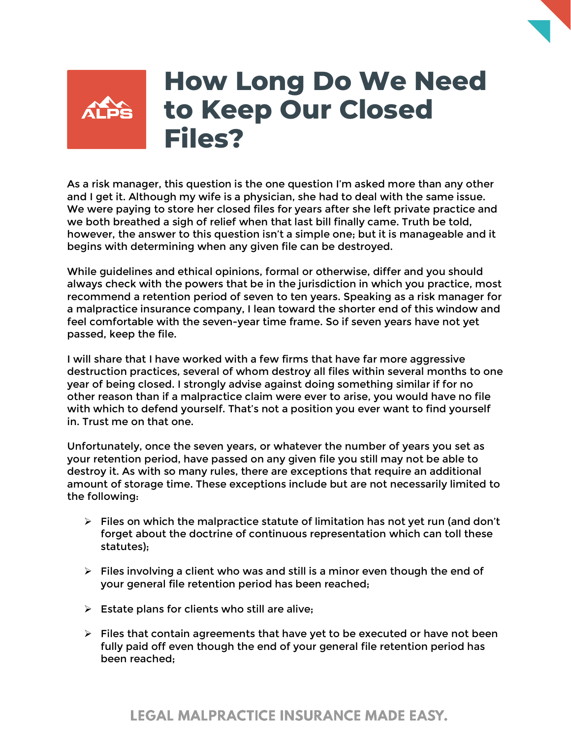## **How Long Do We Need to Keep Our Closed Files?**

As a risk manager, this question is the one question I'm asked more than any other and I get it. Although my wife is a physician, she had to deal with the same issue. We were paying to store her closed files for years after she left private practice and we both breathed a sigh of relief when that last bill finally came. Truth be told, however, the answer to this question isn't a simple one; but it is manageable and it begins with determining when any given file can be destroyed.

While guidelines and ethical opinions, formal or otherwise, differ and you should always check with the powers that be in the jurisdiction in which you practice, most recommend a retention period of seven to ten years. Speaking as a risk manager for a malpractice insurance company, I lean toward the shorter end of this window and feel comfortable with the seven-year time frame. So if seven years have not yet passed, keep the file.

I will share that I have worked with a few firms that have far more aggressive destruction practices, several of whom destroy all files within several months to one year of being closed. I strongly advise against doing something similar if for no other reason than if a malpractice claim were ever to arise, you would have no file with which to defend yourself. That's not a position you ever want to find yourself in. Trust me on that one.

Unfortunately, once the seven years, or whatever the number of years you set as your retention period, have passed on any given file you still may not be able to destroy it. As with so many rules, there are exceptions that require an additional amount of storage time. These exceptions include but are not necessarily limited to the following:

- $\triangleright$  Files on which the malpractice statute of limitation has not yet run (and don't forget about the doctrine of continuous representation which can toll these statutes);
- $\triangleright$  Files involving a client who was and still is a minor even though the end of your general file retention period has been reached;
- $\triangleright$  Estate plans for clients who still are alive;
- $\triangleright$  Files that contain agreements that have yet to be executed or have not been fully paid off even though the end of your general file retention period has been reached;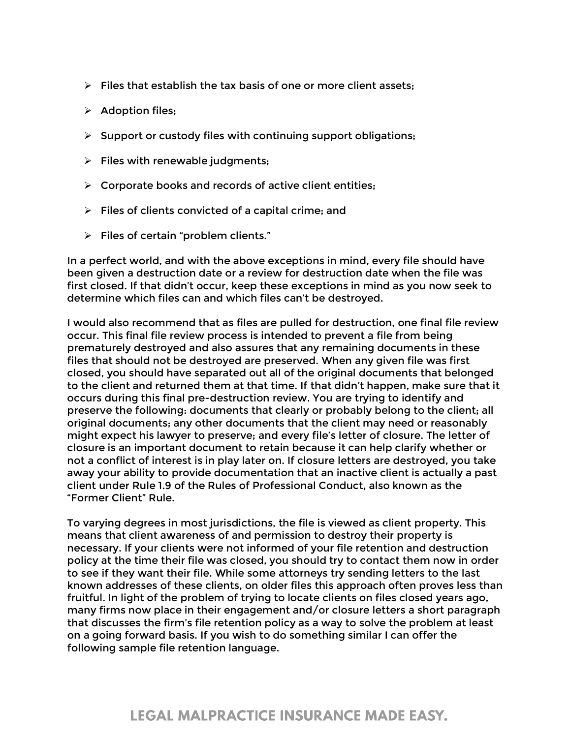- $\triangleright$  Files that establish the tax basis of one or more client assets;
- $\triangleright$  Adoption files;
- $\triangleright$  Support or custody files with continuing support obligations;
- $\triangleright$  Files with renewable judgments;
- $\triangleright$  Corporate books and records of active client entities;
- $\triangleright$  Files of clients convicted of a capital crime; and
- $\triangleright$  Files of certain "problem clients."

In a perfect world, and with the above exceptions in mind, every file should have been given a destruction date or a review for destruction date when the file was first closed. If that didn't occur, keep these exceptions in mind as you now seek to determine which files can and which files can't be destroyed.

I would also recommend that as files are pulled for destruction, one final file review occur. This final file review process is intended to prevent a file from being prematurely destroyed and also assures that any remaining documents in these files that should not be destroyed are preserved. When any given file was first closed, you should have separated out all of the original documents that belonged to the client and returned them at that time. If that didn't happen, make sure that it occurs during this final pre-destruction review. You are trying to identify and preserve the following: documents that clearly or probably belong to the client; all original documents; any other documents that the client may need or reasonably might expect his lawyer to preserve; and every file's letter of closure. The letter of closure is an important document to retain because it can help clarify whether or not a conflict of interest is in play later on. If closure letters are destroyed, you take away your ability to provide documentation that an inactive client is actually a past client under Rule 1.9 of the Rules of Professional Conduct, also known as the "Former Client" Rule.

To varying degrees in most jurisdictions, the file is viewed as client property. This means that client awareness of and permission to destroy their property is necessary. If your clients were not informed of your file retention and destruction policy at the time their file was closed, you should try to contact them now in order to see if they want their file. While some attorneys try sending letters to the last known addresses of these clients, on older files this approach often proves less than fruitful. In light of the problem of trying to locate clients on files closed years ago, many firms now place in their engagement and/or closure letters a short paragraph that discusses the firm's file retention policy as a way to solve the problem at least on a going forward basis. If you wish to do something similar I can offer the following sample file retention language.